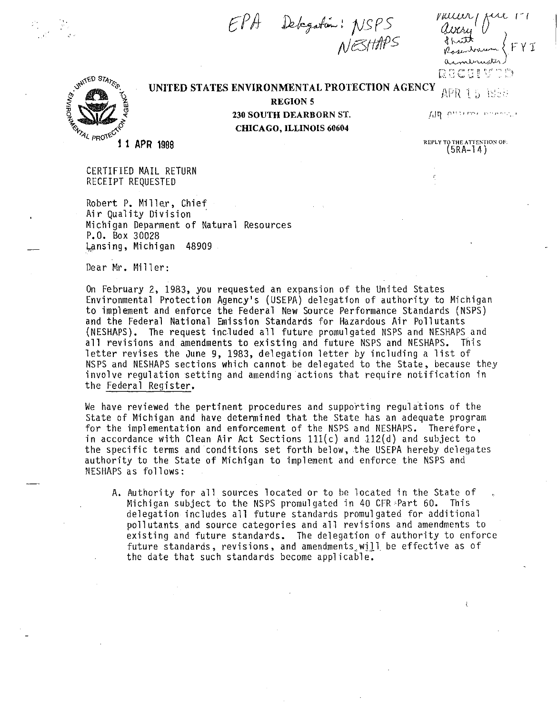EPA Delegation: NSPS<br>NESHAPS

 $\omega$ នប្រកប្បន្ន



**UNITED STATES ENVIRONMENTAL PROTECTION AGENCY APR 1.5 1958** 

**REGION** 5 **230 SOUTH DEARBORN** ST. **CHICAGO, ILLINOIS 60604** 

AIR processors and

REPLY TO THE ATTENTION OF: (5RA-l4)

₹

11 APR 1988

CERTIFIED MAIL RETURN RECEIPT REQUESTED

Robert P. Miller, Chief Air Quality Division · Michigan Deparment of Natural Resources P.O. Box 30028 Lansing, Michigan 48909.

Dear Mr. Miller:

On February 2, 1983, you requested an expansion of the United States Environmental Protection Agency's (USEPA) delegation of authority to Michigan to implement and enforce the Federal New Source Performance Standards (NSPS) and the Federal National Emission Standards for Hazardous Air Pollutants (NESHAPS). The request included all future promulgated NSPS and NESHAPS and all revisions and amendments to existing and future NSPS and NESHAPS. This letter revises the June 9, 1983, delegation letter by including a list of NSPS and NESHAPS sections which cannot be delegated to the State, because they involve regulation setting and amending actions that require notification in the Federal Register.

We have reviewed the pertinent procedures and supporting regulations of the State of Michigan and have determined that the State has an adequate program for the implementation and enforcement of the NSPS and NESHAPS. Therefore, in accordance with Clean Air Act Sections  $111(c)$  and  $112(d)$  and subject to the specific terms and conditions set forth below, the USEPA hereby delegates authority to the State of Michigan to implement and enforce the NSPS and NESHAPS as follows:

A. Authority for all sources located or to be located in the State of Michigan subject to the NSPS promulgated in 40 CFR Part 60. This delegation includes all future standards promulgated for additional pollutants. and source categories and all revisions and amendments to existing and future standards. The delegation of authority to enforce future standards, revisions, and amendments will be effective as of the date that such standards become applicable.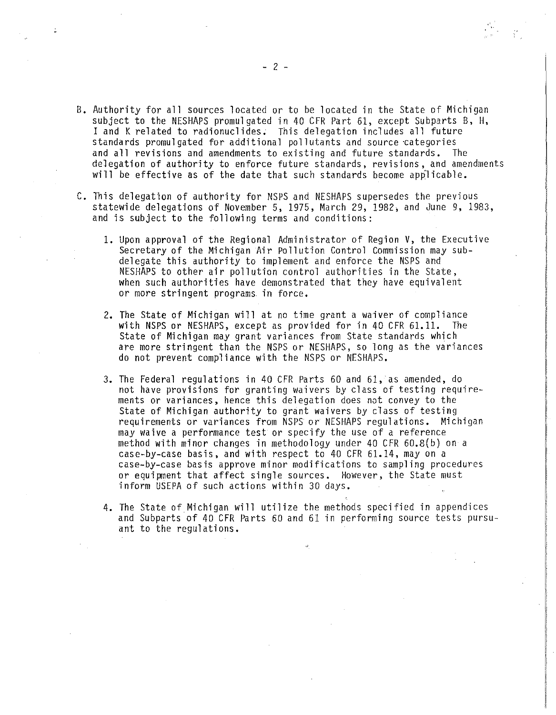- B. Authority for all sources located or to be located in the State of Michigan subject to the NESHAPS promulgated in 40 CFR Part 61, except Subparts B, H, I and K related to radionuclides. This delegation includes all future standards promulgated for additional pollutants and source categories and all revisions and amendments to existing and future standards. The delegation of authority to enforce future standards, revisions, and amendments **will** be effective as of the date that such standards become applicable.
- C. This delegation of authority for NSPS and NESHAPS supersedes the previous statewide delegations of November 5, 1975, March 29, 1982, and June 9, 1983, and is subject to the following terms and conditions:
	- 1. Upon approval of the Regional Administrator of Region V, the Executive Secretary of the Michigan Air Pollution Control Commission may subdelegate this authority to implement and enforce the NSPS and NESHAPS to other air pollution control authorities in the State, when such authorities have demonstrated that they have equivalent or more stringent programs in force.
	- 2. The State of Michigan will at no time grant a waiver of compliance with NSPS or NESHAPS, except as provided for in 40 CFR 61.11. The State of Michigan may grant variances from State standards which are more stringent than the NSPS or NESHAPS, so long as the variances do not prevent compliance with the NSPS or NESHAPS.
	- 3. The Federal regulations in 40 CFR Parts 60 and 61, as amended, do not have provisions for granting waivers by class of testing requirements or variances, hence this delegation does *not* convey to the State of Michigan authority to grant waivers by class of testing requirements or variances from NSPS or NESHAPS regulations. Michigan may waive a performance test or specify the use of a reference method with minor changes in methodology under 40 CFR 60.B(b) on a case-by-case basis, and with respect to 40 CFR 61.14, may on a case-by-case basis approve minor modifications to sampling procedures or equipment that affect single sources. However, the State must inform USEPA of such actions within 30 days.
	- 4. The State of Michigan will utilize the methods specified in appendices and Subparts of 40 CFR Parts 60 and 61 in performing source tests pursuant to the regulations.

**Incommentation** 

l !

1<br>1910 - 1910<br>1911 - 1912 - 1914<br>1915 - 1916 - 1916 - 1916 - 1916 - 1916 - 1916 - 1916 - 1916 - 1916 - 1916 - 19 ! **I** II il i. ! . ii

II l l I I!

**Inconstruction** 

**in the concept of the context** of the concept of the concept of the concept of the concept of the concept of the concept of the concept of the concept of the concept of the concept of the concept of the concept of the con '

'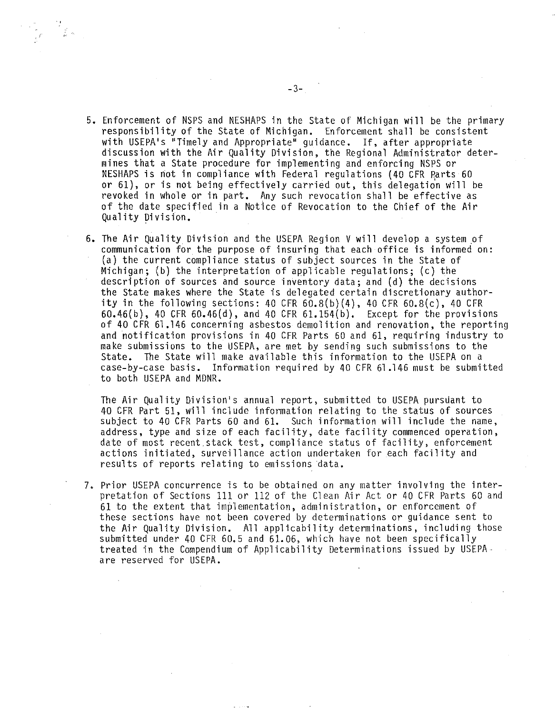$\begin{array}{c} \displaystyle \frac{2\pi}{\pi} \int\limits_{-\infty}^{\infty} \frac{d\mu}{\mu} \, d\mu \, d\mu \end{array}$ 

- 5. Enforcement of NSPS and NESHAPS in the State of Michigan will be the primary responsibility of the State of Michigan. Enforcement shall be consistent with USEPA's "Timely and Appropriate" guidance. If, after appropriate discussion with the Air Quality Division, the Regional Administrator determines that a State procedure for implementing and enforcing NSPS or NESHAPS is not in compliance with Federal regulations (40 CFR Parts 60 or 61), or is not being effectively carried out, this delegation will be revoked in whole or in part. Any such revocation shall be effective as of the date specified in a Notice of Revocation to the Chief of the Air Quality Division.
- 6. The Air Quality Division and the USEPA Region V will develop a system pf communication for the purpose of insuring that each office is informed on: (a) the current compliance status of subject sources in the State of Michigan; (b) the interpretation of applicable regulations; (c) the description of sources and source inventory data; and (d) the decisions the State makes where the State is delegated certain discretionary authority in the following sections: 40 CFR  $60.8(b)(4)$ , 40 CFR  $60.8(c)$ , 40 CFR 60.46(b), 40 CFR 60.46(d), and 40 CFR 61.154(b). Except for the provisions of 40 CFR 61.146 concerning asbestos demolition and renovation, the reporting and notification provisions in 40 CFR Parts 60 and 61, requiring industry to make submissions to the USEPA, are met by sending such submissions to the State. The State will make available this information to the USEPA on a case-by-case basis. Information required by 40 CFR 61.146 must be submitted to both USEPA and MDNR.

The Air Quality Division's annual report, submitted to USEPA pursuant to 40 CFR Part 51, will include information relating to the status of sources subject to 40 CFR Parts 60 and 61. Such information will include the name, address, type and size of each facility, date facility commenced operation, date of most recent.stack test, compliance status of facility, enforcement actions initiated, surveillance action undertaken for each facility and results of reports relating to emissions data.

7. Prior USEPA concurrence is to be obtained on any matter involving the interpretation of Sections 111 or 112 of the Clean Air Act or 40 CFR Parts 60 and 61 to the extent that implementation, administration, or enforcement of these sections have not been covered by determinations or guidance sent to the Air Quality Division. All applicability determinations, including those submitted under 40 CFR 60.5 and 61.06, which have not been specifically treated in the Compendium of Applicability Determinations issued by USEPAare reserved for USEPA.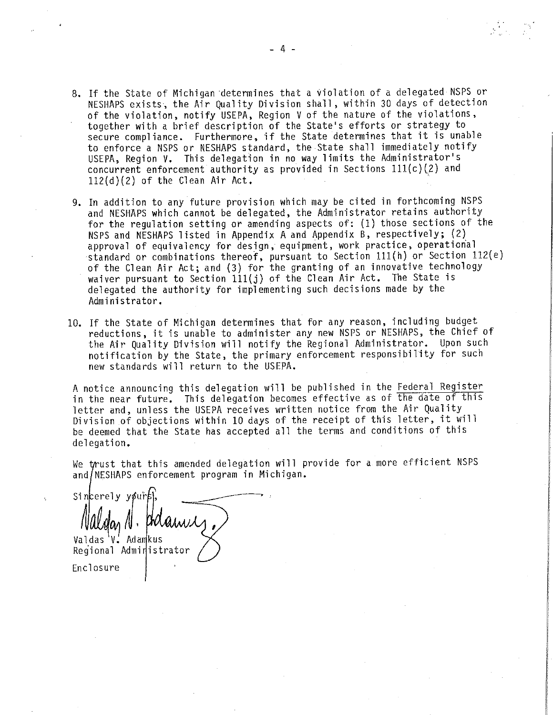- 8. If the State of Michigan determines that a violation of a delegated NSPS or NESHAPS exists, the Air Quality Division shall, within 30 days of detection of the violation, notify USEPA, Region V of the nature of the violations, together with a brief description of the State's efforts or strategy to secure compliance. Furthermore, if the State determines that it is unable to enforce a NSPS or NESHAPS standard, the State shall immediately notify USEPA, Region V. This delegation in no way limits the Administrator's concurrent enforcement authority as provided in Sections  $111(c)(2)$  and  $112(d)(2)$  of the Clean Air Act.
- 9. In addition to any future provision which may be cited in forthcoming NSPS and NESHAPS which cannot be delegated, the Administrator retains authority for the regulation setting or amending aspects of: (1) those sections of the NSPS and NESHAPS listed in Appendix A and Appendix B, respectively; (2) approval of equivalency for design, equipment, work practice, operational standard or combinations thereof, pursuant to Section lll(h) or Section 112(e) of the Clean Air Act; and (3) for the granting of an innovative technology waiver pursuant to Section  $111(j)$  of the Clean Air Act. The State is delegated the authority for implementing such decisions made by the Administrator.
- 10. If the State of Michigan determines that for any reason, including budget reductions, it is unable to administer any new NSPS or NESHAPS, the Chief of the Air Quality Division will notify the Regional Administrator. Upon such notification by the State, the primary enforcement responsibility for such new standards will return to the USEPA.

A notice announcing this delegation will be published in the Federal Register in the near future. This delegation becomes effective as of the date of this letter and, unless the USEPA receives written notice from the Air Quality Division of objections within 10 days of the receipt of this letter, it will be deemed that the State has accepted all the terms and conditions of this delegation.

We trust that this amended delegation will provide for a more efficient NSPS and NESHAPS enforcement program in Michigan.

 $\mathcal{L}$ gar 11 · Prudiwic Sincerely your Valdas V. Adamkus Regional Administrator Enclosure